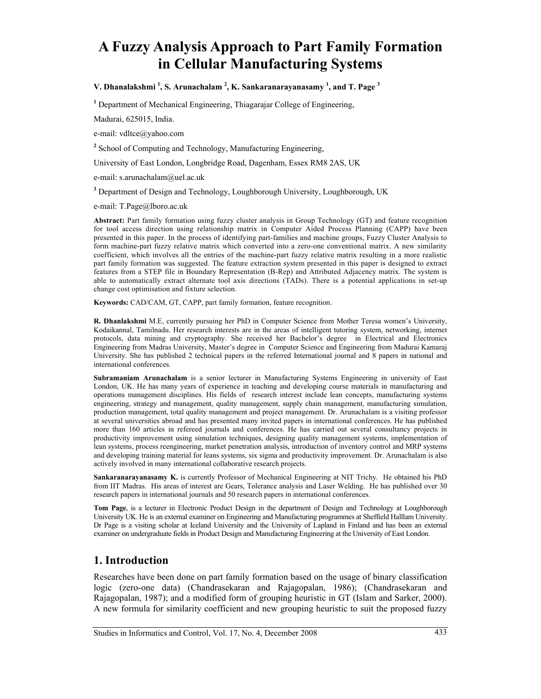# **A Fuzzy Analysis Approach to Part Family Formation in Cellular Manufacturing Systems**

V. Dhanalakshmi<sup>1</sup>, S. Arunachalam<sup>2</sup>, K. Sankaranarayanasamy<sup>1</sup>, and T. Page<sup>3</sup>

<sup>1</sup> Department of Mechanical Engineering, Thiagarajar College of Engineering,

Madurai, 625015, India.

e-mail: vdltce@yahoo.com

<sup>2</sup> School of Computing and Technology, Manufacturing Engineering,

University of East London, Longbridge Road, Dagenham, Essex RM8 2AS, UK

e-mail: s.arunachalam@uel.ac.uk

**3** Department of Design and Technology, Loughborough University, Loughborough, UK

e-mail: T.Page@lboro.ac.uk

**Abstract:** Part family formation using fuzzy cluster analysis in Group Technology (GT) and feature recognition for tool access direction using relationship matrix in Computer Aided Process Planning (CAPP) have been presented in this paper. In the process of identifying part-families and machine groups, Fuzzy Cluster Analysis to form machine-part fuzzy relative matrix which converted into a zero-one conventional matrix. A new similarity coefficient, which involves all the entries of the machine-part fuzzy relative matrix resulting in a more realistic part family formation was suggested. The feature extraction system presented in this paper is designed to extract features from a STEP file in Boundary Representation (B-Rep) and Attributed Adjacency matrix. The system is able to automatically extract alternate tool axis directions (TADs). There is a potential applications in set-up change cost optimisation and fixture selection.

**Keywords:** CAD/CAM, GT, CAPP, part family formation, feature recognition.

**R. Dhanlakshmi** M.E, currently pursuing her PhD in Computer Science from Mother Teresa women's University, Kodaikannal, Tamilnadu. Her research interests are in the areas of intelligent tutoring system, networking, internet protocols, data mining and cryptography. She received her Bachelor's degree in Electrical and Electronics Engineering from Madras University, Master's degree in Computer Science and Engineering from Madurai Kamaraj University. She has published 2 technical papers in the referred International journal and 8 papers in national and international conferences.

**Subramaniam Arunachalam** is a senior lecturer in Manufacturing Systems Engineering in university of East London, UK. He has many years of experience in teaching and developing course materials in manufacturing and operations management disciplines. His fields of research interest include lean concepts, manufacturing systems engineering, strategy and management, quality management, supply chain management, manufacturing simulation, production management, total quality management and project management. Dr. Arunachalam is a visiting professor at several universities abroad and has presented many invited papers in international conferences. He has published more than 160 articles in refereed journals and conferences. He has carried out several consultancy projects in productivity improvement using simulation techniques, designing quality management systems, implementation of lean systems, process reengineering, market penetration analysis, introduction of inventory control and MRP systems and developing training material for leans systems, six sigma and productivity improvement. Dr. Arunachalam is also actively involved in many international collaborative research projects.

**Sankaranarayanasamy K.** is currently Professor of Mechanical Engineering at NIT Trichy. He obtained his PhD from IIT Madras. His areas of interest are Gears, Tolerance analysis and Laser Welding. He has published over 30 research papers in international journals and 50 research papers in international conferences.

**Tom Page**, is a lecturer in Electronic Product Design in the department of Design and Technology at Loughborough University UK. He is an external examiner on Engineering and Manufacturing programmes at Sheffield Halllam University. Dr Page is a visiting scholar at Iceland University and the University of Lapland in Finland and has been an external examiner on undergraduate fields in Product Design and Manufacturing Engineering at the University of East London.

### **1. Introduction**

Researches have been done on part family formation based on the usage of binary classification logic (zero-one data) (Chandrasekaran and Rajagopalan, 1986); (Chandrasekaran and Rajagopalan, 1987); and a modified form of grouping heuristic in GT (Islam and Sarker, 2000). A new formula for similarity coefficient and new grouping heuristic to suit the proposed fuzzy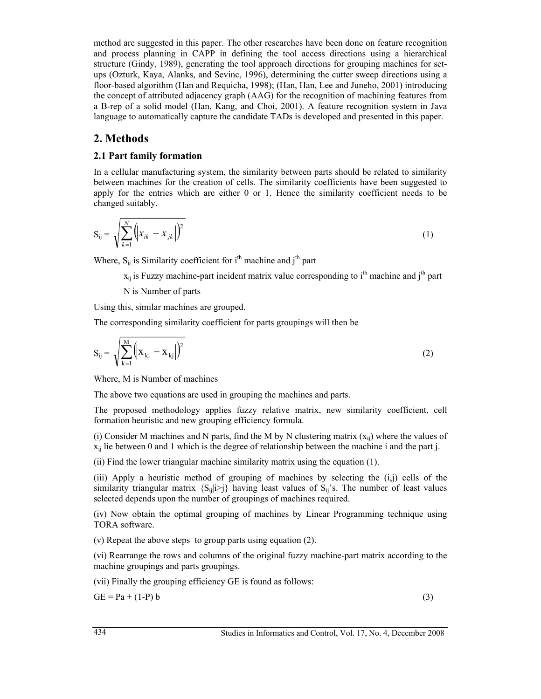method are suggested in this paper. The other researches have been done on feature recognition and process planning in CAPP in defining the tool access directions using a hierarchical structure (Gindy, 1989), generating the tool approach directions for grouping machines for setups (Ozturk, Kaya, Alanks, and Sevinc, 1996), determining the cutter sweep directions using a floor-based algorithm (Han and Requicha, 1998); (Han, Han, Lee and Juneho, 2001) introducing the concept of attributed adjacency graph (AAG) for the recognition of machining features from a B-rep of a solid model (Han, Kang, and Choi, 2001). A feature recognition system in Java language to automatically capture the candidate TADs is developed and presented in this paper.

## **2. Methods**

#### **2.1 Part family formation**

In a cellular manufacturing system, the similarity between parts should be related to similarity between machines for the creation of cells. The similarity coefficients have been suggested to apply for the entries which are either 0 or 1. Hence the similarity coefficient needs to be changed suitably.

$$
S_{ij} = \sqrt{\sum_{k=1}^{N} (x_{ik} - x_{jk})^2}
$$
 (1)

Where,  $S_{ii}$  is Similarity coefficient for i<sup>th</sup> machine and j<sup>th</sup> part

 $x_{ij}$  is Fuzzy machine-part incident matrix value corresponding to i<sup>th</sup> machine and i<sup>th</sup> part

N is Number of parts

Using this, similar machines are grouped.

The corresponding similarity coefficient for parts groupings will then be

$$
S_{ij} = \sqrt{\sum_{k=1}^{M} (x_{ki} - x_{kj})^2}
$$
 (2)

Where, M is Number of machines

The above two equations are used in grouping the machines and parts.

The proposed methodology applies fuzzy relative matrix, new similarity coefficient, cell formation heuristic and new grouping efficiency formula.

(i) Consider M machines and N parts, find the M by N clustering matrix  $(x_{ii})$  where the values of  $x_{ii}$  lie between 0 and 1 which is the degree of relationship between the machine i and the part j.

(ii) Find the lower triangular machine similarity matrix using the equation (1).

(iii) Apply a heuristic method of grouping of machines by selecting the (i,j) cells of the similarity triangular matrix  $\{S_{ij}|i>i\rangle\}$  having least values of  $S_{ij}$ 's. The number of least values selected depends upon the number of groupings of machines required.

(iv) Now obtain the optimal grouping of machines by Linear Programming technique using TORA software.

(v) Repeat the above steps to group parts using equation (2).

(vi) Rearrange the rows and columns of the original fuzzy machine-part matrix according to the machine groupings and parts groupings.

(vii) Finally the grouping efficiency GE is found as follows:

 $GE = Pa + (1-P)b$  (3)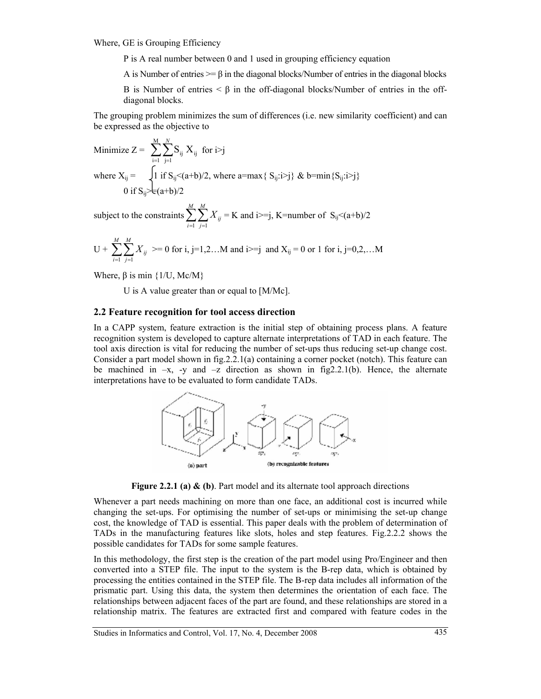Where, GE is Grouping Efficiency

P is A real number between 0 and 1 used in grouping efficiency equation

A is Number of entries  $\geq 8$  in the diagonal blocks/Number of entries in the diagonal blocks

B is Number of entries  $\leq \beta$  in the off-diagonal blocks/Number of entries in the offdiagonal blocks.

The grouping problem minimizes the sum of differences (i.e. new similarity coefficient) and can be expressed as the objective to

Minimize 
$$
Z = \sum_{i=1}^{M} \sum_{j=1}^{N} S_{ij} X_{ij}
$$
 for  $i > j$   
where  $X_{ij} = \int_{0}^{1} \int_{i}^{1} f S_{ij} < (a+b)/2$ , where  $a = max\{ S_{ij}: i > j\}$  & b = min $\{S_{ij}: i > j\}$   
0 if  $S_{ij} > \epsilon(a+b)/2$ 

subject to the constraints  $\sum_{i=1}^{M} \sum_{j=1}^{M}$ *i M j Xij*  $-1$   $j=1$  $=$  K and i $>=$ j, K=number of S<sub>ij</sub><(a+b)/2

$$
U + \sum_{i=1}^{M} \sum_{j=1}^{M} X_{ij} \geq 0 \text{ for } i, j=1,2...M \text{ and } i \geq j \text{ and } X_{ij} = 0 \text{ or } 1 \text{ for } i, j=0,2,...M
$$

Where, β is min {1/U, Mc/M}

U is A value greater than or equal to [M/Mc].

#### **2.2 Feature recognition for tool access direction**

In a CAPP system, feature extraction is the initial step of obtaining process plans. A feature recognition system is developed to capture alternate interpretations of TAD in each feature. The tool axis direction is vital for reducing the number of set-ups thus reducing set-up change cost. Consider a part model shown in fig.2.2.1(a) containing a corner pocket (notch). This feature can be machined in  $-x$ , -y and  $-z$  direction as shown in fig2.2.1(b). Hence, the alternate interpretations have to be evaluated to form candidate TADs.



**Figure 2.2.1 (a) & (b)**. Part model and its alternate tool approach directions

Whenever a part needs machining on more than one face, an additional cost is incurred while changing the set-ups. For optimising the number of set-ups or minimising the set-up change cost, the knowledge of TAD is essential. This paper deals with the problem of determination of TADs in the manufacturing features like slots, holes and step features. Fig.2.2.2 shows the possible candidates for TADs for some sample features.

In this methodology, the first step is the creation of the part model using Pro/Engineer and then converted into a STEP file. The input to the system is the B-rep data, which is obtained by processing the entities contained in the STEP file. The B-rep data includes all information of the prismatic part. Using this data, the system then determines the orientation of each face. The relationships between adjacent faces of the part are found, and these relationships are stored in a relationship matrix. The features are extracted first and compared with feature codes in the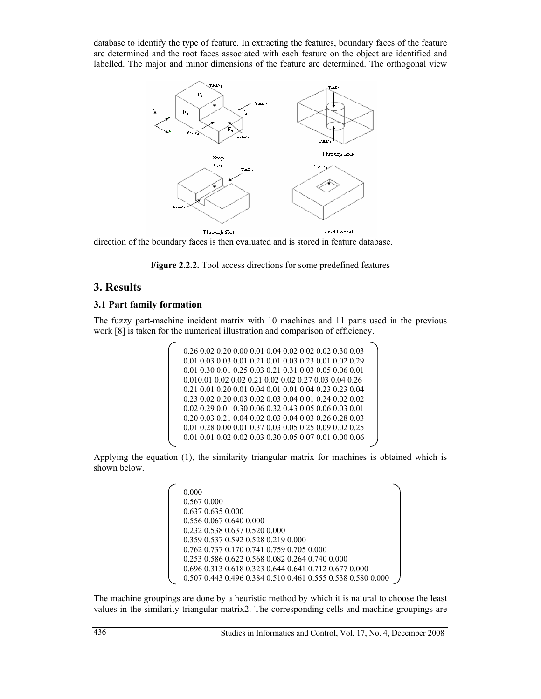database to identify the type of feature. In extracting the features, boundary faces of the feature are determined and the root faces associated with each feature on the object are identified and labelled. The major and minor dimensions of the feature are determined. The orthogonal view



direction of the boundary faces is then evaluated and is stored in feature database.



## **3. Results**

#### **3.1 Part family formation**

The fuzzy part-machine incident matrix with 10 machines and 11 parts used in the previous work [8] is taken for the numerical illustration and comparison of efficiency.

```
0.26 0.02 0.20 0.00 0.01 0.04 0.02 0.02 0.02 0.30 0.03 
0.01 0.03 0.03 0.01 0.21 0.01 0.03 0.23 0.01 0.02 0.29 
0.01 0.30 0.01 0.25 0.03 0.21 0.31 0.03 0.05 0.06 0.01 
0.010.01 0.02 0.02 0.21 0.02 0.02 0.27 0.03 0.04 0.26 
0.21 0.01 0.20 0.01 0.04 0.01 0.01 0.04 0.23 0.23 0.04 
0.23 0.02 0.20 0.03 0.02 0.03 0.04 0.01 0.24 0.02 0.02 
0.02 0.29 0.01 0.30 0.06 0.32 0.43 0.05 0.06 0.03 0.01 
0.20 0.03 0.21 0.04 0.02 0.03 0.04 0.03 0.26 0.28 0.03 
0.01 0.28 0.00 0.01 0.37 0.03 0.05 0.25 0.09 0.02 0.25 
0.01 0.01 0.02 0.02 0.03 0.30 0.05 0.07 0.01 0.00 0.06
```
Applying the equation (1), the similarity triangular matrix for machines is obtained which is shown below.

> 0.000 0.567 0.000 0.637 0.635 0.000 0.556 0.067 0.640 0.000 0.232 0.538 0.637 0.520 0.000 0.359 0.537 0.592 0.528 0.219 0.000 0.762 0.737 0.170 0.741 0.759 0.705 0.000 0.253 0.586 0.622 0.568 0.082 0.264 0.740 0.000 0.696 0.313 0.618 0.323 0.644 0.641 0.712 0.677 0.000 0.507 0.443 0.496 0.384 0.510 0.461 0.555 0.538 0.580 0.000

The machine groupings are done by a heuristic method by which it is natural to choose the least values in the similarity triangular matrix2. The corresponding cells and machine groupings are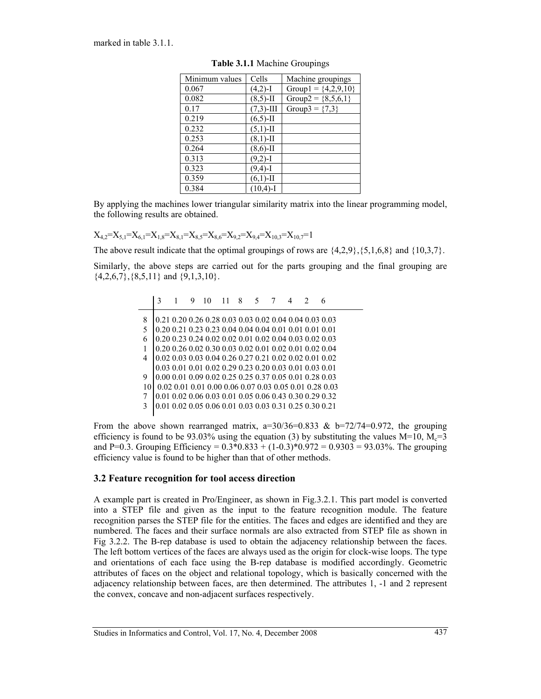marked in table 3.1.1.

| Minimum values | Cells        | Machine groupings       |
|----------------|--------------|-------------------------|
| 0.067          | $(4,2)$ -I   | Group1 = $\{4,2,9,10\}$ |
| 0.082          | $(8,5)$ -II  | Group2 = $\{8,5,6,1\}$  |
| 0.17           | $(7,3)$ -III | Group3 = $\{7,3\}$      |
| 0.219          | $(6,5)$ -II  |                         |
| 0.232          | $(5,1)$ -II  |                         |
| 0.253          | $(8,1)$ -II  |                         |
| 0.264          | $(8,6)$ -II  |                         |
| 0.313          | $(9,2)$ -I   |                         |
| 0.323          | $(9,4)-I$    |                         |
| 0.359          | $(6,1)$ -II  |                         |
| 0.384          | $(10,4)-I$   |                         |

**Table 3.1.1** Machine Groupings

By applying the machines lower triangular similarity matrix into the linear programming model, the following results are obtained.

 $X_{4,2}=X_{5,1}=X_{6,1}=X_{1,8}=X_{8,1}=X_{8,5}=X_{8,6}=X_{9,2}=X_{9,4}=X_{10,3}=X_{10,7}=1$ 

The above result indicate that the optimal groupings of rows are  $\{4,2,9\}$ ,  $\{5,1,6,8\}$  and  $\{10,3,7\}$ .

Similarly, the above steps are carried out for the parts grouping and the final grouping are  $\{4,2,6,7\}, \{8,5,11\}$  and  $\{9,1,3,10\}$ .

|    | 3 |  |                                                        |  |  |  |                                                        |
|----|---|--|--------------------------------------------------------|--|--|--|--------------------------------------------------------|
| 8  |   |  | 0.21 0.20 0.26 0.28 0.03 0.03 0.02 0.04 0.04 0.03 0.03 |  |  |  |                                                        |
|    |   |  | 0.20 0.21 0.23 0.23 0.04 0.04 0.04 0.01 0.01 0.01 0.01 |  |  |  |                                                        |
| 6  |   |  | 0.20 0.23 0.24 0.02 0.02 0.01 0.02 0.04 0.03 0.02 0.03 |  |  |  |                                                        |
| 1  |   |  | 0.20 0.26 0.02 0.30 0.03 0.02 0.01 0.02 0.01 0.02 0.04 |  |  |  |                                                        |
| 4  |   |  | 0.02 0.03 0.03 0.04 0.26 0.27 0.21 0.02 0.02 0.01 0.02 |  |  |  |                                                        |
|    |   |  | 0.03 0.01 0.01 0.02 0.29 0.23 0.20 0.03 0.01 0.03 0.01 |  |  |  |                                                        |
| 9  |   |  | 0.00 0.01 0.09 0.02 0.25 0.25 0.37 0.05 0.01 0.28 0.03 |  |  |  |                                                        |
| 10 |   |  |                                                        |  |  |  | 0.02 0.01 0.01 0.00 0.06 0.07 0.03 0.05 0.01 0.28 0.03 |
| 7  |   |  | 0.01 0.02 0.06 0.03 0.01 0.05 0.06 0.43 0.30 0.29 0.32 |  |  |  |                                                        |
| 3  |   |  | 0.01 0.02 0.05 0.06 0.01 0.03 0.03 0.31 0.25 0.30 0.21 |  |  |  |                                                        |
|    |   |  |                                                        |  |  |  |                                                        |

From the above shown rearranged matrix,  $a=30/36=0.833$  &  $b=72/74=0.972$ , the grouping efficiency is found to be 93.03% using the equation (3) by substituting the values  $M=10$ ,  $M_c=3$ and P=0.3. Grouping Efficiency =  $0.3*0.833 + (1-0.3)*0.972 = 0.9303 = 93.03\%$ . The grouping efficiency value is found to be higher than that of other methods.

#### **3.2 Feature recognition for tool access direction**

A example part is created in Pro/Engineer, as shown in Fig.3.2.1. This part model is converted into a STEP file and given as the input to the feature recognition module. The feature recognition parses the STEP file for the entities. The faces and edges are identified and they are numbered. The faces and their surface normals are also extracted from STEP file as shown in Fig 3.2.2. The B-rep database is used to obtain the adjacency relationship between the faces. The left bottom vertices of the faces are always used as the origin for clock-wise loops. The type and orientations of each face using the B-rep database is modified accordingly. Geometric attributes of faces on the object and relational topology, which is basically concerned with the adjacency relationship between faces, are then determined. The attributes 1, -1 and 2 represent the convex, concave and non-adjacent surfaces respectively.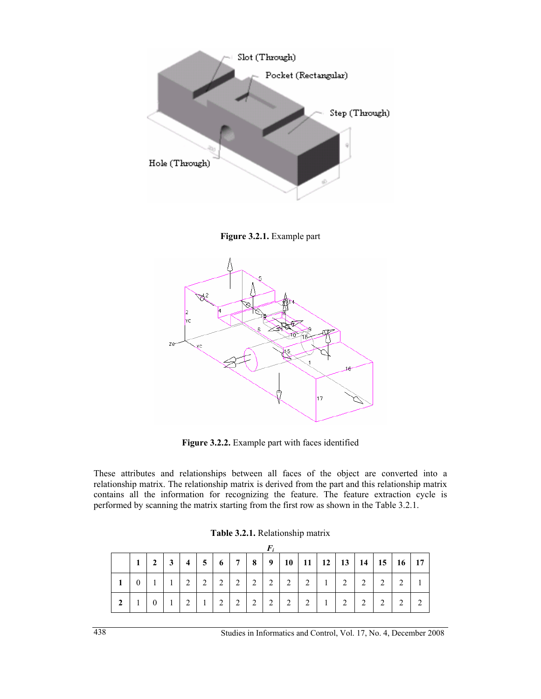

**Figure 3.2.1.** Example part



**Figure 3.2.2.** Example part with faces identified

These attributes and relationships between all faces of the object are converted into a relationship matrix. The relationship matrix is derived from the part and this relationship matrix contains all the information for recognizing the feature. The feature extraction cycle is performed by scanning the matrix starting from the first row as shown in the Table 3.2.1.

|                        | 2 | $\mathbf{3}$ | $\overline{4}$ | 5 <sup>5</sup> | 6              | 7 <sup>1</sup> | 8 | 9 <sup>1</sup> |   |   |   |   |   | $10$   11   12   13   14   15   16   17 |  |
|------------------------|---|--------------|----------------|----------------|----------------|----------------|---|----------------|---|---|---|---|---|-----------------------------------------|--|
|                        |   |              | ∍              | $\overline{2}$ | 2              | 2              | 2 | 2              | 2 | 2 | 2 | 2 | 2 | $\mathcal{L}$                           |  |
| $\mathbf{\mathcal{D}}$ |   |              | ∍              |                | $\overline{2}$ | 2              | 2 | 2              | 2 | 2 | 2 | 2 | 2 | 2                                       |  |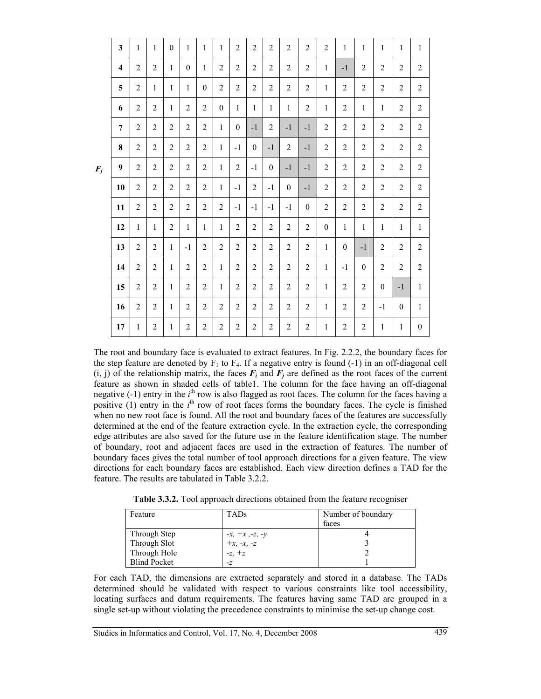|       | 3                       | $\mathbf{1}$   | $\mathbf{1}$   | $\mathbf{0}$   | $\mathbf{1}$   | $\mathbf{1}$   | $\mathbf{1}$     | $\overline{2}$ | $\overline{2}$ | $\overline{2}$ | $\overline{2}$ | $\overline{2}$ | $\overline{2}$ | $\mathbf{1}$     | $\mathbf{1}$   | $\mathbf{1}$     | $\mathbf{1}$   | $\mathbf{1}$     |
|-------|-------------------------|----------------|----------------|----------------|----------------|----------------|------------------|----------------|----------------|----------------|----------------|----------------|----------------|------------------|----------------|------------------|----------------|------------------|
|       | $\overline{\mathbf{4}}$ | 2              | 2              | 1              | $\mathbf{0}$   | $\mathbf{1}$   | $\overline{c}$   | $\overline{c}$ | $\overline{2}$ | $\overline{2}$ | $\overline{2}$ | $\overline{2}$ | $\mathbf{1}$   | $-1$             | $\overline{2}$ | $\overline{c}$   | $\overline{c}$ | $\overline{2}$   |
|       | 5                       | $\overline{c}$ | 1              | $\mathbf{1}$   | $\mathbf{1}$   | $\mathbf{0}$   | $\overline{2}$   | $\overline{2}$ | $\overline{2}$ | $\overline{2}$ | $\overline{2}$ | $\overline{2}$ | $\mathbf{1}$   | $\overline{c}$   | $\overline{c}$ | $\overline{2}$   | $\overline{2}$ | $\overline{2}$   |
|       | 6                       | $\overline{c}$ | $\overline{2}$ | 1              | $\overline{2}$ | $\overline{2}$ | $\boldsymbol{0}$ | $\mathbf{1}$   | $\mathbf{1}$   | $\mathbf{1}$   | $\mathbf{1}$   | $\overline{2}$ | $\mathbf{1}$   | $\overline{c}$   | $\mathbf{1}$   | $\mathbf{1}$     | $\overline{2}$ | $\overline{2}$   |
|       | $\overline{7}$          | $\overline{2}$ | $\overline{2}$ | $\overline{2}$ | $\overline{2}$ | $\overline{2}$ | 1                | $\overline{0}$ | $-1$           | $\overline{2}$ | $-1$           | $-1$           | $\overline{2}$ | $\boldsymbol{2}$ | $\overline{2}$ | $\overline{2}$   | $\overline{2}$ | $\overline{2}$   |
|       | 8                       | $\overline{2}$ | $\overline{2}$ | $\overline{2}$ | $\overline{2}$ | $\overline{2}$ | $\mathbf{1}$     | $-1$           | $\mathbf{0}$   | $-1$           | $\overline{2}$ | $-1$           | $\overline{2}$ | $\overline{2}$   | $\overline{c}$ | $\overline{2}$   | $\overline{2}$ | $\overline{2}$   |
| $F_j$ | 9                       | $\overline{2}$ | $\overline{2}$ | $\overline{2}$ | $\overline{2}$ | $\overline{2}$ | $\mathbf{1}$     | $\overline{2}$ | $-1$           | $\mathbf{0}$   | $-1$           | $-1$           | $\overline{2}$ | $\overline{2}$   | $\overline{2}$ | $\overline{2}$   | $\overline{2}$ | $\overline{2}$   |
|       | 10                      | $\overline{2}$ | $\overline{2}$ | 2              | $\overline{2}$ | $\overline{2}$ | $\mathbf{1}$     | $-1$           | 2              | $-1$           | $\mathbf{0}$   | $-1$           | $\overline{2}$ | $\overline{2}$   | $\overline{c}$ | $\overline{2}$   | $\overline{2}$ | $\overline{2}$   |
|       | 11                      | $\overline{2}$ | $\overline{2}$ | 2              | $\overline{2}$ | $\overline{2}$ | $\overline{c}$   | $-1$           | $-1$           | $-1$           | $-1$           | $\mathbf{0}$   | $\overline{2}$ | $\overline{2}$   | $\overline{c}$ | $\overline{2}$   | $\overline{2}$ | $\overline{2}$   |
|       | 12                      | $\mathbf{1}$   | 1              | $\overline{2}$ | $\mathbf{1}$   | $\mathbf{1}$   | $\mathbf{1}$     | $\overline{c}$ | $\overline{2}$ | $\overline{2}$ | $\overline{2}$ | $\overline{c}$ | $\mathbf{0}$   | $\mathbf{1}$     | $\mathbf{1}$   | $\mathbf{1}$     | $\mathbf{1}$   | $\mathbf{1}$     |
|       | 13                      | $\overline{2}$ | $\overline{2}$ | $\mathbf{1}$   | $-1$           | $\overline{2}$ | $\overline{2}$   | $\overline{2}$ | $\overline{2}$ | $\overline{2}$ | $\overline{2}$ | $\overline{c}$ | $\mathbf{1}$   | $\mathbf{0}$     | $-1$           | $\overline{2}$   | $\overline{2}$ | $\overline{2}$   |
|       | 14                      | $\overline{2}$ | $\overline{2}$ | $\mathbf{1}$   | $\overline{2}$ | $\overline{2}$ | $\mathbf{1}$     | $\overline{2}$ | $\overline{2}$ | $\overline{2}$ | $\overline{2}$ | $\overline{c}$ | $\mathbf{1}$   | $-1$             | $\theta$       | $\overline{2}$   | $\overline{2}$ | $\overline{2}$   |
|       | 15                      | $\overline{2}$ | $\overline{2}$ | $\mathbf{1}$   | $\overline{2}$ | $\overline{2}$ | $\mathbf{1}$     | $\overline{2}$ | $\overline{2}$ | $\overline{2}$ | $\overline{2}$ | $\overline{2}$ | $\mathbf{1}$   | $\overline{2}$   | $\overline{2}$ | $\boldsymbol{0}$ | $-1$           | $\mathbf{1}$     |
|       | 16                      | $\overline{2}$ | $\overline{2}$ | $\mathbf{1}$   | $\overline{2}$ | $\overline{2}$ | $\overline{2}$   | $\overline{2}$ | 2              | $\overline{2}$ | $\overline{2}$ | $\overline{2}$ | $\mathbf{1}$   | $\overline{2}$   | $\overline{2}$ | $-1$             | $\mathbf{0}$   | $\mathbf{1}$     |
|       | 17                      | $\mathbf{1}$   | $\overline{2}$ | 1              | $\overline{2}$ | $\overline{2}$ | $\overline{c}$   | $\overline{c}$ | $\overline{2}$ | $\overline{2}$ | $\overline{2}$ | 2              | 1              | $\overline{c}$   | $\overline{c}$ | 1                | 1              | $\boldsymbol{0}$ |

The root and boundary face is evaluated to extract features. In Fig. 2.2.2, the boundary faces for the step feature are denoted by  $F_1$  to  $F_4$ . If a negative entry is found (-1) in an off-diagonal cell  $(i, j)$  of the relationship matrix, the faces  $F_i$  and  $F_j$  are defined as the root faces of the current feature as shown in shaded cells of table1. The column for the face having an off-diagonal negative  $(-1)$  entry in the  $i<sup>th</sup>$  row is also flagged as root faces. The column for the faces having a positive  $(1)$  entry in the  $i<sup>th</sup>$  row of root faces forms the boundary faces. The cycle is finished when no new root face is found. All the root and boundary faces of the features are successfully determined at the end of the feature extraction cycle. In the extraction cycle, the corresponding edge attributes are also saved for the future use in the feature identification stage. The number of boundary, root and adjacent faces are used in the extraction of features. The number of boundary faces gives the total number of tool approach directions for a given feature. The view directions for each boundary faces are established. Each view direction defines a TAD for the feature. The results are tabulated in Table 3.2.2.

| Table 3.3.2. Tool approach directions obtained from the feature recogniser |  |  |  |  |
|----------------------------------------------------------------------------|--|--|--|--|
|                                                                            |  |  |  |  |

| Feature             | <b>TADs</b>                            | Number of boundary |
|---------------------|----------------------------------------|--------------------|
|                     |                                        | faces              |
| Through Step        |                                        |                    |
| Through Slot        | -x, +x ,-z, -y<br>+x, -x, -z<br>-z, +z |                    |
| Through Hole        |                                        |                    |
| <b>Blind Pocket</b> | $-Z$                                   |                    |

For each TAD, the dimensions are extracted separately and stored in a database. The TADs determined should be validated with respect to various constraints like tool accessibility, locating surfaces and datum requirements. The features having same TAD are grouped in a single set-up without violating the precedence constraints to minimise the set-up change cost.